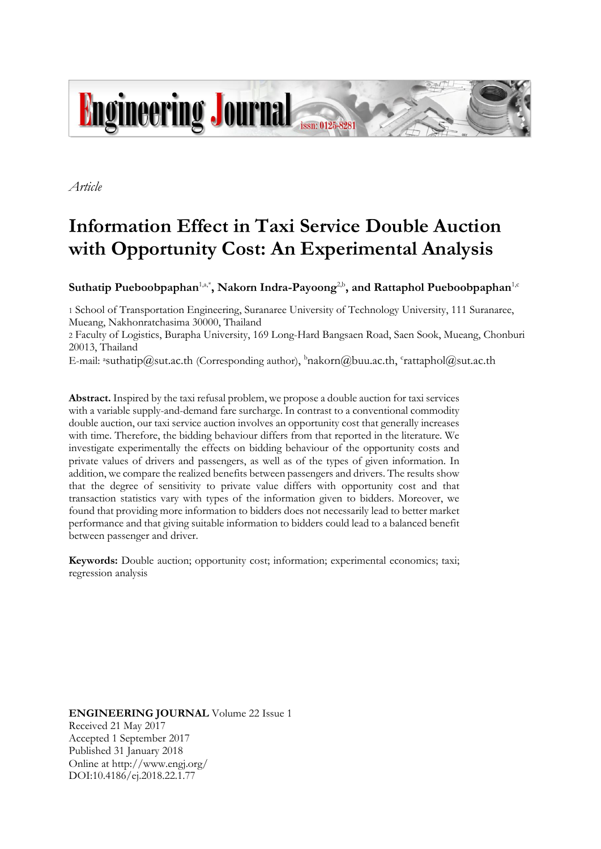

*Article*

# **Information Effect in Taxi Service Double Auction with Opportunity Cost: An Experimental Analysis**

 $\mathbf{S}$ uthatip Pueboobpaphan<sup>1,a,\*</sup>, Nakorn Indra-Payoong<sup>2,b</sup>, and Rattaphol Pueboobpaphan<sup>1,c</sup>

1 School of Transportation Engineering, Suranaree University of Technology University, 111 Suranaree, Mueang, Nakhonratchasima 30000, Thailand

2 Faculty of Logistics, Burapha University, 169 Long-Hard Bangsaen Road, Saen Sook, Mueang, Chonburi 20013, Thailand

E-mail: <sup>a</sup>suthatip@sut.ac.th (Corresponding author), <sup>b</sup>nakorn@buu.ac.th, <sup>c</sup>rattaphol@sut.ac.th

**Abstract.** Inspired by the taxi refusal problem, we propose a double auction for taxi services with a variable supply-and-demand fare surcharge. In contrast to a conventional commodity double auction, our taxi service auction involves an opportunity cost that generally increases with time. Therefore, the bidding behaviour differs from that reported in the literature. We investigate experimentally the effects on bidding behaviour of the opportunity costs and private values of drivers and passengers, as well as of the types of given information. In addition, we compare the realized benefits between passengers and drivers. The results show that the degree of sensitivity to private value differs with opportunity cost and that transaction statistics vary with types of the information given to bidders. Moreover, we found that providing more information to bidders does not necessarily lead to better market performance and that giving suitable information to bidders could lead to a balanced benefit between passenger and driver.

**Keywords:** Double auction; opportunity cost; information; experimental economics; taxi; regression analysis

**ENGINEERING JOURNAL** Volume 22 Issue 1 Received 21 May 2017 Accepted 1 September 2017 Published 31 January 2018 Online at http://www.engj.org/ DOI:10.4186/ej.2018.22.1.77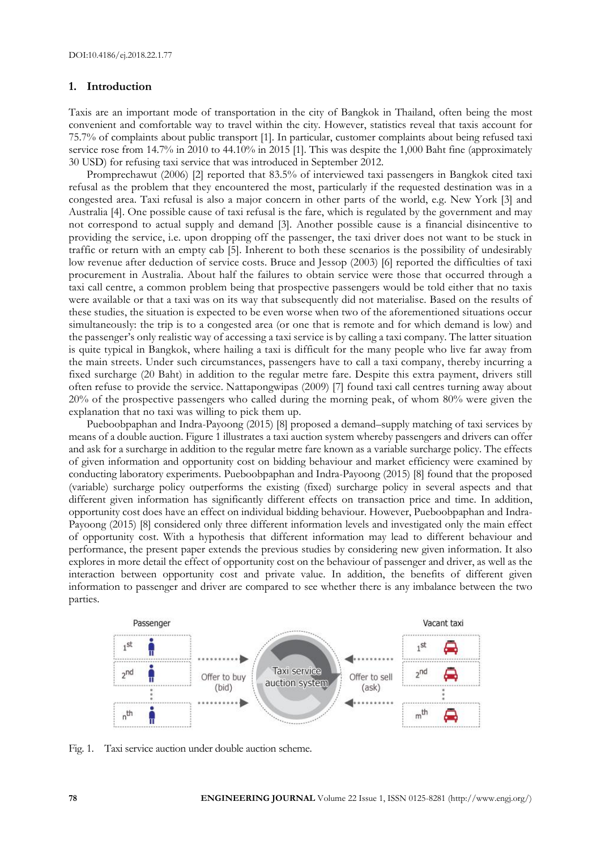## **1. Introduction**

Taxis are an important mode of transportation in the city of Bangkok in Thailand, often being the most convenient and comfortable way to travel within the city. However, statistics reveal that taxis account for 75.7% of complaints about public transport [1]. In particular, customer complaints about being refused taxi service rose from 14.7% in 2010 to 44.10% in 2015 [1]. This was despite the 1,000 Baht fine (approximately 30 USD) for refusing taxi service that was introduced in September 2012.

Promprechawut (2006) [2] reported that 83.5% of interviewed taxi passengers in Bangkok cited taxi refusal as the problem that they encountered the most, particularly if the requested destination was in a congested area. Taxi refusal is also a major concern in other parts of the world, e.g. New York [3] and Australia [4]. One possible cause of taxi refusal is the fare, which is regulated by the government and may not correspond to actual supply and demand [3]. Another possible cause is a financial disincentive to providing the service, i.e. upon dropping off the passenger, the taxi driver does not want to be stuck in traffic or return with an empty cab [5]. Inherent to both these scenarios is the possibility of undesirably low revenue after deduction of service costs. Bruce and Jessop (2003) [6] reported the difficulties of taxi procurement in Australia. About half the failures to obtain service were those that occurred through a taxi call centre, a common problem being that prospective passengers would be told either that no taxis were available or that a taxi was on its way that subsequently did not materialise. Based on the results of these studies, the situation is expected to be even worse when two of the aforementioned situations occur simultaneously: the trip is to a congested area (or one that is remote and for which demand is low) and the passenger's only realistic way of accessing a taxi service is by calling a taxi company. The latter situation is quite typical in Bangkok, where hailing a taxi is difficult for the many people who live far away from the main streets. Under such circumstances, passengers have to call a taxi company, thereby incurring a fixed surcharge (20 Baht) in addition to the regular metre fare. Despite this extra payment, drivers still often refuse to provide the service. Nattapongwipas (2009) [7] found taxi call centres turning away about 20% of the prospective passengers who called during the morning peak, of whom 80% were given the explanation that no taxi was willing to pick them up.

Pueboobpaphan and Indra-Payoong (2015) [8] proposed a demand–supply matching of taxi services by means of a double auction. Figure 1 illustrates a taxi auction system whereby passengers and drivers can offer and ask for a surcharge in addition to the regular metre fare known as a variable surcharge policy. The effects of given information and opportunity cost on bidding behaviour and market efficiency were examined by conducting laboratory experiments. Pueboobpaphan and Indra-Payoong (2015) [8] found that the proposed (variable) surcharge policy outperforms the existing (fixed) surcharge policy in several aspects and that different given information has significantly different effects on transaction price and time. In addition, opportunity cost does have an effect on individual bidding behaviour. However, Pueboobpaphan and Indra-Payoong (2015) [8] considered only three different information levels and investigated only the main effect of opportunity cost. With a hypothesis that different information may lead to different behaviour and performance, the present paper extends the previous studies by considering new given information. It also explores in more detail the effect of opportunity cost on the behaviour of passenger and driver, as well as the interaction between opportunity cost and private value. In addition, the benefits of different given information to passenger and driver are compared to see whether there is any imbalance between the two parties.



Fig. 1. Taxi service auction under double auction scheme.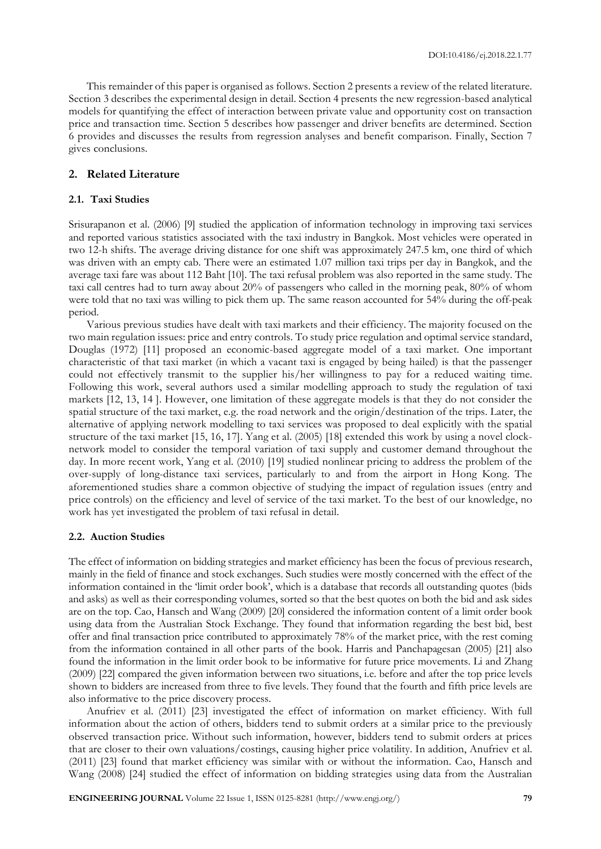This remainder of this paper is organised as follows. Section 2 presents a review of the related literature. Section 3 describes the experimental design in detail. Section 4 presents the new regression-based analytical models for quantifying the effect of interaction between private value and opportunity cost on transaction price and transaction time. Section 5 describes how passenger and driver benefits are determined. Section 6 provides and discusses the results from regression analyses and benefit comparison. Finally, Section 7 gives conclusions.

## **2. Related Literature**

#### **2.1. Taxi Studies**

Srisurapanon et al. (2006) [9] studied the application of information technology in improving taxi services and reported various statistics associated with the taxi industry in Bangkok. Most vehicles were operated in two 12-h shifts. The average driving distance for one shift was approximately 247.5 km, one third of which was driven with an empty cab. There were an estimated 1.07 million taxi trips per day in Bangkok, and the average taxi fare was about 112 Baht [10]. The taxi refusal problem was also reported in the same study. The taxi call centres had to turn away about 20% of passengers who called in the morning peak, 80% of whom were told that no taxi was willing to pick them up. The same reason accounted for 54% during the off-peak period.

Various previous studies have dealt with taxi markets and their efficiency. The majority focused on the two main regulation issues: price and entry controls. To study price regulation and optimal service standard, Douglas (1972) [11] proposed an economic-based aggregate model of a taxi market. One important characteristic of that taxi market (in which a vacant taxi is engaged by being hailed) is that the passenger could not effectively transmit to the supplier his/her willingness to pay for a reduced waiting time. Following this work, several authors used a similar modelling approach to study the regulation of taxi markets [12, 13, 14 ]. However, one limitation of these aggregate models is that they do not consider the spatial structure of the taxi market, e.g. the road network and the origin/destination of the trips. Later, the alternative of applying network modelling to taxi services was proposed to deal explicitly with the spatial structure of the taxi market [15, 16, 17]. Yang et al. (2005) [18] extended this work by using a novel clocknetwork model to consider the temporal variation of taxi supply and customer demand throughout the day. In more recent work, Yang et al. (2010) [19] studied nonlinear pricing to address the problem of the over-supply of long-distance taxi services, particularly to and from the airport in Hong Kong. The aforementioned studies share a common objective of studying the impact of regulation issues (entry and price controls) on the efficiency and level of service of the taxi market. To the best of our knowledge, no work has yet investigated the problem of taxi refusal in detail.

#### **2.2. Auction Studies**

The effect of information on bidding strategies and market efficiency has been the focus of previous research, mainly in the field of finance and stock exchanges. Such studies were mostly concerned with the effect of the information contained in the 'limit order book', which is a database that records all outstanding quotes (bids and asks) as well as their corresponding volumes, sorted so that the best quotes on both the bid and ask sides are on the top. Cao, Hansch and Wang (2009) [20] considered the information content of a limit order book using data from the Australian Stock Exchange. They found that information regarding the best bid, best offer and final transaction price contributed to approximately 78% of the market price, with the rest coming from the information contained in all other parts of the book. Harris and Panchapagesan (2005) [21] also found the information in the limit order book to be informative for future price movements. Li and Zhang (2009) [22] compared the given information between two situations, i.e. before and after the top price levels shown to bidders are increased from three to five levels. They found that the fourth and fifth price levels are also informative to the price discovery process.

Anufriev et al. (2011) [23] investigated the effect of information on market efficiency. With full information about the action of others, bidders tend to submit orders at a similar price to the previously observed transaction price. Without such information, however, bidders tend to submit orders at prices that are closer to their own valuations/costings, causing higher price volatility. In addition, Anufriev et al. (2011) [23] found that market efficiency was similar with or without the information. Cao, Hansch and Wang (2008) [24] studied the effect of information on bidding strategies using data from the Australian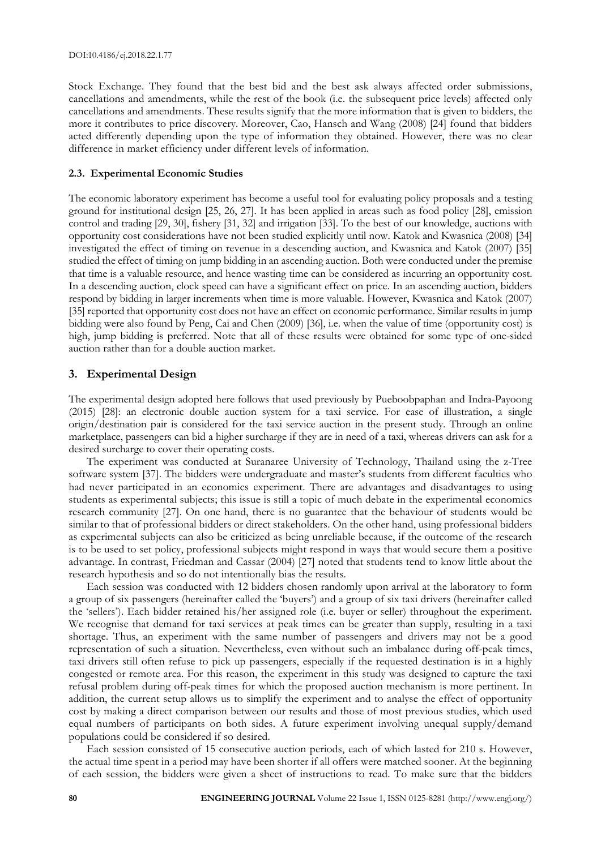Stock Exchange. They found that the best bid and the best ask always affected order submissions, cancellations and amendments, while the rest of the book (i.e. the subsequent price levels) affected only cancellations and amendments. These results signify that the more information that is given to bidders, the more it contributes to price discovery. Moreover, Cao, Hansch and Wang (2008) [24] found that bidders acted differently depending upon the type of information they obtained. However, there was no clear difference in market efficiency under different levels of information.

## **2.3. Experimental Economic Studies**

The economic laboratory experiment has become a useful tool for evaluating policy proposals and a testing ground for institutional design [25, 26, 27]. It has been applied in areas such as food policy [28], emission control and trading [29, 30], fishery [31, 32] and irrigation [33]. To the best of our knowledge, auctions with opportunity cost considerations have not been studied explicitly until now. Katok and Kwasnica (2008) [34] investigated the effect of timing on revenue in a descending auction, and Kwasnica and Katok (2007) [35] studied the effect of timing on jump bidding in an ascending auction. Both were conducted under the premise that time is a valuable resource, and hence wasting time can be considered as incurring an opportunity cost. In a descending auction, clock speed can have a significant effect on price. In an ascending auction, bidders respond by bidding in larger increments when time is more valuable. However, Kwasnica and Katok (2007) [35] reported that opportunity cost does not have an effect on economic performance. Similar results in jump bidding were also found by Peng, Cai and Chen (2009) [36], i.e. when the value of time (opportunity cost) is high, jump bidding is preferred. Note that all of these results were obtained for some type of one-sided auction rather than for a double auction market.

## **3. Experimental Design**

The experimental design adopted here follows that used previously by Pueboobpaphan and Indra-Payoong (2015) [28]: an electronic double auction system for a taxi service. For ease of illustration, a single origin/destination pair is considered for the taxi service auction in the present study. Through an online marketplace, passengers can bid a higher surcharge if they are in need of a taxi, whereas drivers can ask for a desired surcharge to cover their operating costs.

The experiment was conducted at Suranaree University of Technology, Thailand using the z-Tree software system [37]. The bidders were undergraduate and master's students from different faculties who had never participated in an economics experiment. There are advantages and disadvantages to using students as experimental subjects; this issue is still a topic of much debate in the experimental economics research community [27]. On one hand, there is no guarantee that the behaviour of students would be similar to that of professional bidders or direct stakeholders. On the other hand, using professional bidders as experimental subjects can also be criticized as being unreliable because, if the outcome of the research is to be used to set policy, professional subjects might respond in ways that would secure them a positive advantage. In contrast, Friedman and Cassar (2004) [27] noted that students tend to know little about the research hypothesis and so do not intentionally bias the results.

Each session was conducted with 12 bidders chosen randomly upon arrival at the laboratory to form a group of six passengers (hereinafter called the 'buyers') and a group of six taxi drivers (hereinafter called the 'sellers'). Each bidder retained his/her assigned role (i.e. buyer or seller) throughout the experiment. We recognise that demand for taxi services at peak times can be greater than supply, resulting in a taxi shortage. Thus, an experiment with the same number of passengers and drivers may not be a good representation of such a situation. Nevertheless, even without such an imbalance during off-peak times, taxi drivers still often refuse to pick up passengers, especially if the requested destination is in a highly congested or remote area. For this reason, the experiment in this study was designed to capture the taxi refusal problem during off-peak times for which the proposed auction mechanism is more pertinent. In addition, the current setup allows us to simplify the experiment and to analyse the effect of opportunity cost by making a direct comparison between our results and those of most previous studies, which used equal numbers of participants on both sides. A future experiment involving unequal supply/demand populations could be considered if so desired.

Each session consisted of 15 consecutive auction periods, each of which lasted for 210 s. However, the actual time spent in a period may have been shorter if all offers were matched sooner. At the beginning of each session, the bidders were given a sheet of instructions to read. To make sure that the bidders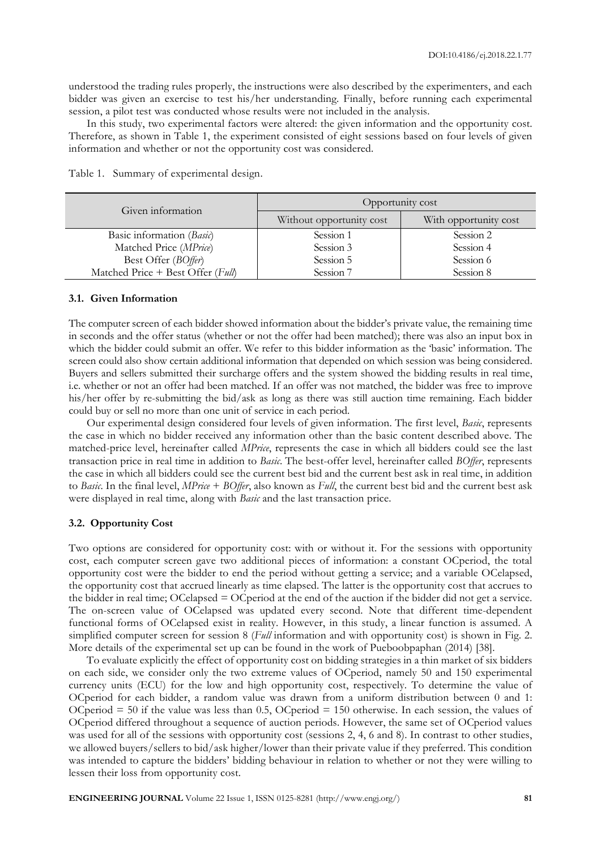understood the trading rules properly, the instructions were also described by the experimenters, and each bidder was given an exercise to test his/her understanding. Finally, before running each experimental session, a pilot test was conducted whose results were not included in the analysis.

In this study, two experimental factors were altered: the given information and the opportunity cost. Therefore, as shown in Table 1, the experiment consisted of eight sessions based on four levels of given information and whether or not the opportunity cost was considered.

|                                   | Opportunity cost         |                       |  |
|-----------------------------------|--------------------------|-----------------------|--|
| Given information                 | Without opportunity cost | With opportunity cost |  |
| Basic information (Basic)         | Session 1                | Session 2             |  |
| Matched Price (MPrice)            | Session 3                | Session 4             |  |
| Best Offer (BOffer)               | Session 5                | Session 6             |  |
| Matched Price + Best Offer (Full) | Session 7                | Session 8             |  |

Table 1. Summary of experimental design.

## **3.1. Given Information**

The computer screen of each bidder showed information about the bidder's private value, the remaining time in seconds and the offer status (whether or not the offer had been matched); there was also an input box in which the bidder could submit an offer. We refer to this bidder information as the 'basic' information. The screen could also show certain additional information that depended on which session was being considered. Buyers and sellers submitted their surcharge offers and the system showed the bidding results in real time, i.e. whether or not an offer had been matched. If an offer was not matched, the bidder was free to improve his/her offer by re-submitting the bid/ask as long as there was still auction time remaining. Each bidder could buy or sell no more than one unit of service in each period.

Our experimental design considered four levels of given information. The first level, *Basic*, represents the case in which no bidder received any information other than the basic content described above. The matched-price level, hereinafter called *MPrice*, represents the case in which all bidders could see the last transaction price in real time in addition to *Basic*. The best-offer level, hereinafter called *BOffer*, represents the case in which all bidders could see the current best bid and the current best ask in real time, in addition to *Basic*. In the final level, *MPrice* + *BOffer*, also known as *Full*, the current best bid and the current best ask were displayed in real time, along with *Basic* and the last transaction price.

## **3.2. Opportunity Cost**

Two options are considered for opportunity cost: with or without it. For the sessions with opportunity cost, each computer screen gave two additional pieces of information: a constant OCperiod, the total opportunity cost were the bidder to end the period without getting a service; and a variable OCelapsed, the opportunity cost that accrued linearly as time elapsed. The latter is the opportunity cost that accrues to the bidder in real time; OCelapsed = OCperiod at the end of the auction if the bidder did not get a service. The on-screen value of OCelapsed was updated every second. Note that different time-dependent functional forms of OCelapsed exist in reality. However, in this study, a linear function is assumed. A simplified computer screen for session 8 (*Full* information and with opportunity cost) is shown in Fig. 2. More details of the experimental set up can be found in the work of Pueboobpaphan (2014) [38].

To evaluate explicitly the effect of opportunity cost on bidding strategies in a thin market of six bidders on each side, we consider only the two extreme values of OCperiod, namely 50 and 150 experimental currency units (ECU) for the low and high opportunity cost, respectively. To determine the value of OCperiod for each bidder, a random value was drawn from a uniform distribution between 0 and 1: OCperiod = 50 if the value was less than 0.5, OCperiod = 150 otherwise. In each session, the values of OCperiod differed throughout a sequence of auction periods. However, the same set of OCperiod values was used for all of the sessions with opportunity cost (sessions 2, 4, 6 and 8). In contrast to other studies, we allowed buyers/sellers to bid/ask higher/lower than their private value if they preferred. This condition was intended to capture the bidders' bidding behaviour in relation to whether or not they were willing to lessen their loss from opportunity cost.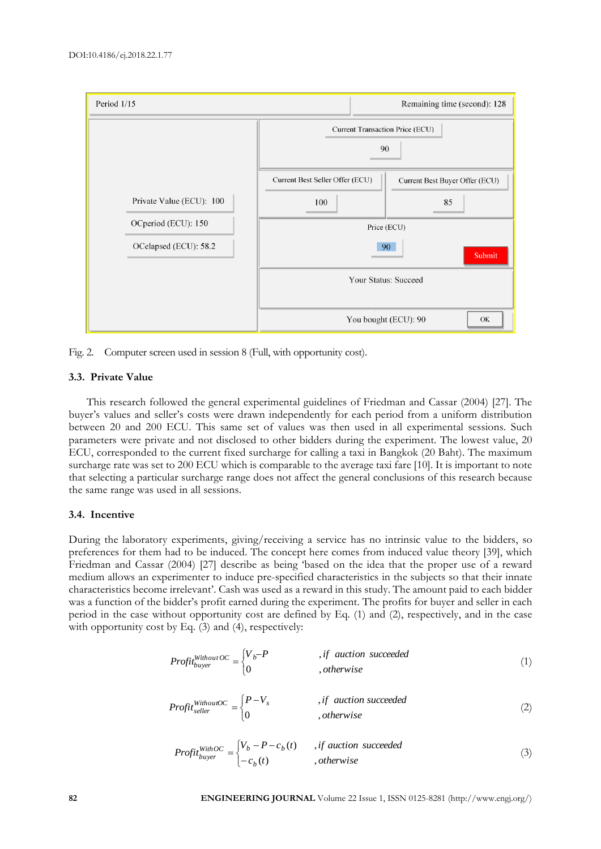

Fig. 2. Computer screen used in session 8 (Full, with opportunity cost).

## **3.3. Private Value**

This research followed the general experimental guidelines of Friedman and Cassar (2004) [27]. The buyer's values and seller's costs were drawn independently for each period from a uniform distribution between 20 and 200 ECU. This same set of values was then used in all experimental sessions. Such parameters were private and not disclosed to other bidders during the experiment. The lowest value, 20 ECU, corresponded to the current fixed surcharge for calling a taxi in Bangkok (20 Baht). The maximum surcharge rate was set to 200 ECU which is comparable to the average taxi fare [10]. It is important to note that selecting a particular surcharge range does not affect the general conclusions of this research because the same range was used in all sessions.

## **3.4. Incentive**

During the laboratory experiments, giving/receiving a service has no intrinsic value to the bidders, so preferences for them had to be induced. The concept here comes from induced value theory [39], which Friedman and Cassar (2004) [27] describe as being 'based on the idea that the proper use of a reward medium allows an experimenter to induce pre-specified characteristics in the subjects so that their innate characteristics become irrelevant'. Cash was used as a reward in this study. The amount paid to each bidder was a function of the bidder's profit earned during the experiment. The profits for buyer and seller in each period in the case without opportunity cost are defined by Eq. (1) and (2), respectively, and in the case with opportunity cost by Eq. (3) and (4), respectively:

$$
Profit_{buyer}^{Without OC} = \begin{cases} V_b - P & , if auction succeeded \\ 0 & , otherwise \end{cases}
$$
 (1)

$$
Profit_{\text{self}}^{\text{WithoutOC}} = \begin{cases} P - V_s & , \text{if } \text{ auction succeeded} \\ 0 & , \text{otherwise} \end{cases} \tag{2}
$$

$$
Profit_{buyer}^{WithOC} = \begin{cases} V_b - P - c_b(t) & , if auction succeeded \\ -c_b(t) & , otherwise \end{cases}
$$
 (3)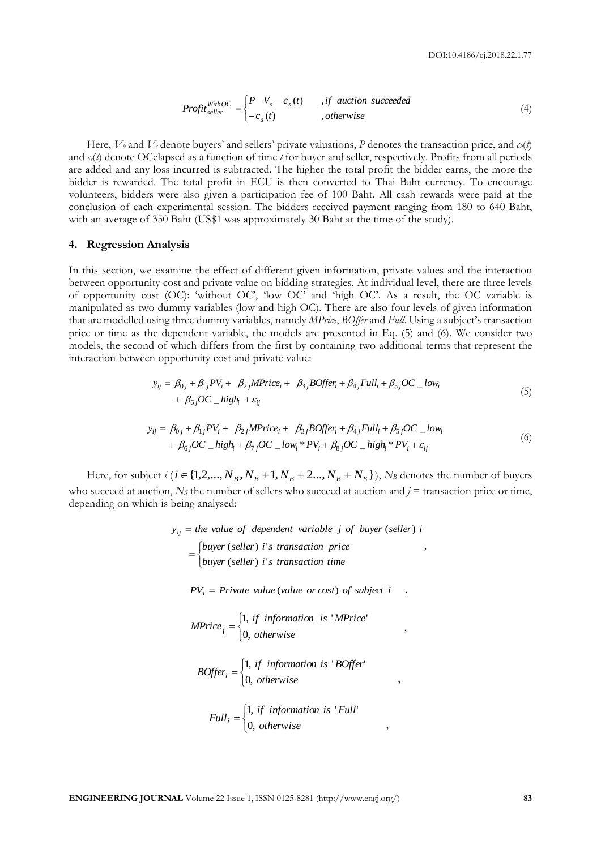$$
Profit_{\text{selfler}}^{\text{WithOC}} = \begin{cases} P - V_s - c_s(t) & , \text{if auction succeeded} \\ -c_s(t) & , \text{otherwise} \end{cases} \tag{4}
$$

Here,  $V_b$  and  $V_s$  denote buyers' and sellers' private valuations, P denotes the transaction price, and  $c_b(t)$ and  $c<sub>s</sub>(t)$  denote OCelapsed as a function of time *t* for buyer and seller, respectively. Profits from all periods are added and any loss incurred is subtracted. The higher the total profit the bidder earns, the more the bidder is rewarded. The total profit in ECU is then converted to Thai Baht currency. To encourage volunteers, bidders were also given a participation fee of 100 Baht. All cash rewards were paid at the conclusion of each experimental session. The bidders received payment ranging from 180 to 640 Baht, with an average of 350 Baht (US\$1 was approximately 30 Baht at the time of the study).

## **4. Regression Analysis**

In this section, we examine the effect of different given information, private values and the interaction between opportunity cost and private value on bidding strategies. At individual level, there are three levels of opportunity cost (OC): 'without OC', 'low OC' and 'high OC'. As a result, the OC variable is manipulated as two dummy variables (low and high OC). There are also four levels of given information that are modelled using three dummy variables, namely *MPrice*, *BOffer* and *Full*. Using a subject's transaction price or time as the dependent variable, the models are presented in Eq. (5) and (6). We consider two models, the second of which differs from the first by containing two additional terms that represent the interaction between opportunity cost and private value:

$$
y_{ij} = \beta_{0j} + \beta_{1j}PV_i + \beta_{2j}MPrice_i + \beta_{3j}BOffer_i + \beta_{4j}Full_i + \beta_{5j}OC\_low_i
$$
  
+  $\beta_{6j}OC\_high_i + \varepsilon_{ij}$  (5)

$$
y_{ij} = \beta_{0j} + \beta_{1j}PV_i + \beta_{2j}MPrice_i + \beta_{3j}Boffer_i + \beta_{4j}Full_i + \beta_{5j}OC\_low_i
$$
  
+  $\beta_{6j}OC\_high_i + \beta_{7j}OC\_low_i * PV_i + \beta_{8j}OC\_high_i * PV_i + \varepsilon_{ij}$  (6)

,

,

,

Here, for subject  $i$  ( $i \in \{1,2,...,N_B, N_B+1, N_B+2..., N_B+N_S\}$ ),  $N_B$  denotes the number of buyers who succeed at auction,  $N<sub>S</sub>$  the number of sellers who succeed at auction and *j* = transaction price or time, depending on which is being analysed:

> $\overline{\mathfrak{l}}$ ⇃ *buyer* (seller) *i*'s transaction pric<br>buyer (seller) *i*'s transaction time  $y_{ij}$  = the value of dependent variable *j* of *buyer* (seller) *i buyer seller i s transaction price*  $(seller) i'$  $(seller) i'$ ,

 $PV_i = Private$  *value* (*value or cost*) *of subject i*,

$$
MPrice_i = \begin{cases} 1, & if \text{ information is 'MPrice'} \\ 0, & otherwise \end{cases}
$$

$$
BOffer_i = \begin{cases} 1, & \text{if information is 'BOffer'} \\ 0, & \text{otherwise} \end{cases}
$$

$$
Full_i = \begin{cases} 1, & \text{information is 'Full'} \\ 0, & \text{otherwise} \end{cases}
$$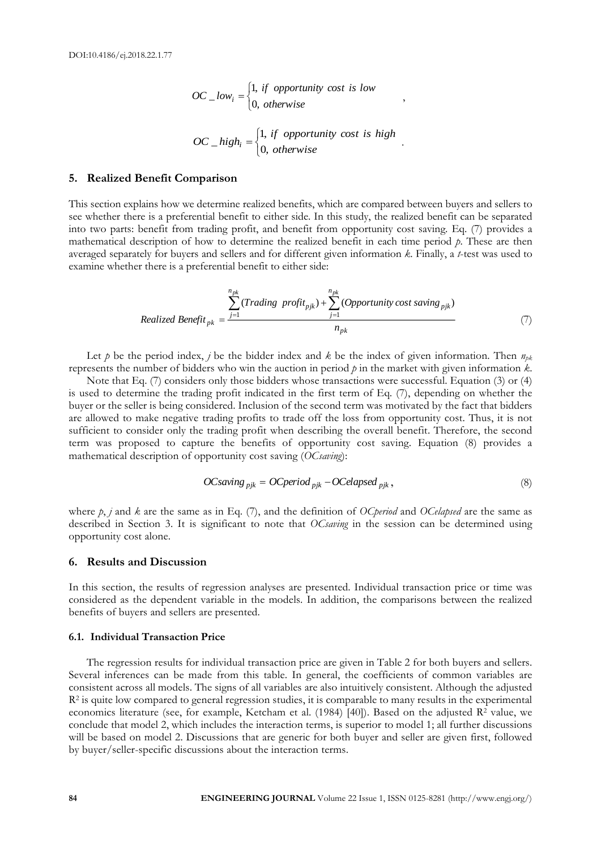$$
OC_{low_i} = \begin{cases} 1, & \text{if opportunity cost is low} \\ 0, & \text{otherwise} \end{cases}
$$
  

$$
OC_{high_i} = \begin{cases} 1, & \text{if opportunity cost is high} \\ 0, & \text{otherwise} \end{cases}
$$

l

# **5. Realized Benefit Comparison**

This section explains how we determine realized benefits, which are compared between buyers and sellers to see whether there is a preferential benefit to either side. In this study, the realized benefit can be separated into two parts: benefit from trading profit, and benefit from opportunity cost saving. Eq. (7) provides a mathematical description of how to determine the realized benefit in each time period *p*. These are then averaged separately for buyers and sellers and for different given information *k*. Finally, a *t*-test was used to examine whether there is a preferential benefit to either side:

Realized Benefit 
$$
_{pk} = \frac{\sum_{j=1}^{n_{pk}} (Trading\ profit_{pjk}) + \sum_{j=1}^{n_{pk}} (Opportunity\ cost\ saving\ pjk)}{n_{pk}}
$$
 (7)

Let *p* be the period index, *j* be the bidder index and *k* be the index of given information. Then  $n_{pk}$ represents the number of bidders who win the auction in period *p* in the market with given information *k*.

Note that Eq. (7) considers only those bidders whose transactions were successful. Equation (3) or (4) is used to determine the trading profit indicated in the first term of Eq. (7), depending on whether the buyer or the seller is being considered. Inclusion of the second term was motivated by the fact that bidders are allowed to make negative trading profits to trade off the loss from opportunity cost. Thus, it is not sufficient to consider only the trading profit when describing the overall benefit. Therefore, the second term was proposed to capture the benefits of opportunity cost saving. Equation (8) provides a mathematical description of opportunity cost saving (*OCsaving*):

$$
OCsaving_{pjk} = OCperiod_{pjk} - OCelapsed_{pjk},
$$
\n(8)

where *p*, *j* and *k* are the same as in Eq. (7), and the definition of *OCperiod* and *OCelapsed* are the same as described in Section 3. It is significant to note that *OCsaving* in the session can be determined using opportunity cost alone.

#### **6. Results and Discussion**

In this section, the results of regression analyses are presented. Individual transaction price or time was considered as the dependent variable in the models. In addition, the comparisons between the realized benefits of buyers and sellers are presented.

## **6.1. Individual Transaction Price**

The regression results for individual transaction price are given in Table 2 for both buyers and sellers. Several inferences can be made from this table. In general, the coefficients of common variables are consistent across all models. The signs of all variables are also intuitively consistent. Although the adjusted R<sup>2</sup> is quite low compared to general regression studies, it is comparable to many results in the experimental economics literature (see, for example, Ketcham et al. (1984) [40]). Based on the adjusted R<sup>2</sup> value, we conclude that model 2, which includes the interaction terms, is superior to model 1; all further discussions will be based on model 2. Discussions that are generic for both buyer and seller are given first, followed by buyer/seller-specific discussions about the interaction terms.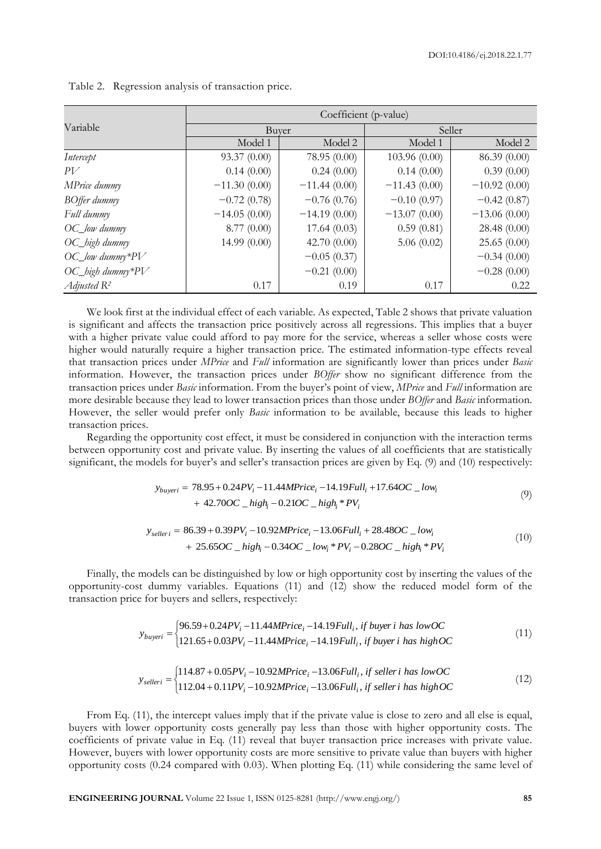|                       | Coefficient (p-value) |                |                |                |
|-----------------------|-----------------------|----------------|----------------|----------------|
| Variable              | Buyer                 |                | Seller         |                |
|                       | Model 1               | Model 2        | Model 1        | Model 2        |
| Intercept             | 93.37 (0.00)          | 78.95 (0.00)   | 103.96(0.00)   | 86.39 (0.00)   |
| P V                   | 0.14(0.00)            | 0.24(0.00)     | 0.14(0.00)     | 0.39(0.00)     |
| MPrice dummy          | $-11.30(0.00)$        | $-11.44(0.00)$ | $-11.43(0.00)$ | $-10.92(0.00)$ |
| BOffer dummy          | $-0.72(0.78)$         | $-0.76(0.76)$  | $-0.10(0.97)$  | $-0.42(0.87)$  |
| Full dummy            | $-14.05(0.00)$        | $-14.19(0.00)$ | $-13.07(0.00)$ | $-13.06(0.00)$ |
| $OC_low \, dummy$     | 8.77(0.00)            | 17.64(0.03)    | 0.59(0.81)     | 28.48 (0.00)   |
| $OC_{high\ dummy}$    | 14.99 (0.00)          | 42.70 $(0.00)$ | 5.06(0.02)     | 25.65(0.00)    |
| $OC_l$ ow dummy* $PV$ |                       | $-0.05(0.37)$  |                | $-0.34(0.00)$  |
| $OC_{high\ dummy*PV}$ |                       | $-0.21(0.00)$  |                | $-0.28(0.00)$  |
| Adjusted $R^2$        | 0.17                  | 0.19           | 0.17           | 0.22           |

Table 2. Regression analysis of transaction price.

We look first at the individual effect of each variable. As expected, Table 2 shows that private valuation is significant and affects the transaction price positively across all regressions. This implies that a buyer with a higher private value could afford to pay more for the service, whereas a seller whose costs were higher would naturally require a higher transaction price. The estimated information-type effects reveal that transaction prices under *MPrice* and *Full* information are significantly lower than prices under *Basic* information. However, the transaction prices under *BOffer* show no significant difference from the transaction prices under *Basic* information. From the buyer's point of view, *MPrice* and *Full* information are more desirable because they lead to lower transaction prices than those under *BOffer* and *Basic* information. However, the seller would prefer only *Basic* information to be available, because this leads to higher transaction prices.

Regarding the opportunity cost effect, it must be considered in conjunction with the interaction terms between opportunity cost and private value. By inserting the values of all coefficients that are statistically significant, the models for buyer's and seller's transaction prices are given by Eq. (9) and (10) respectively:

$$
y_{buyeri} = 78.95 + 0.24PV_i - 11.44MPrice_i - 14.19Full_i + 17.64OC_low_i
$$
  
+ 42.70OC\_lhigh\_i - 0.21OC\_lhigh\_i \* PV\_i (9)

$$
y_{\text{selfer}i} = 86.39 + 0.39PV_i - 10.92MPrice_i - 13.06Full_i + 28.48OC_{lowi} + 25.65OC_{highi} - 0.34OC_{lowi} * PV_i - 0.28OC_{highi} * PV_i
$$
\n(10)

Finally, the models can be distinguished by low or high opportunity cost by inserting the values of the opportunity-cost dummy variables. Equations (11) and (12) show the reduced model form of the transaction price for buyers and sellers, respectively:

$$
y_{buyeri} = \begin{cases} 96.59 + 0.24PV_i - 11.44MPrice_i - 14.19Full_i, if buyer i has low OC \\ 121.65 + 0.03PV_i - 11.44MPrice_i - 14.19Full_i, if buyer i has high OC \end{cases} (11)
$$

$$
y_{\text{selfer}i} = \begin{cases} 114.87 + 0.05PV_i - 10.92MPrice_i - 13.06Full_i, \text{ if seller } i \text{ has low } OC \\ 112.04 + 0.11PV_i - 10.92MPrice_i - 13.06Full_i, \text{ if seller } i \text{ has high } OC \end{cases} \tag{12}
$$

From Eq. (11), the intercept values imply that if the private value is close to zero and all else is equal, buyers with lower opportunity costs generally pay less than those with higher opportunity costs. The coefficients of private value in Eq. (11) reveal that buyer transaction price increases with private value. However, buyers with lower opportunity costs are more sensitive to private value than buyers with higher opportunity costs (0.24 compared with 0.03). When plotting Eq. (11) while considering the same level of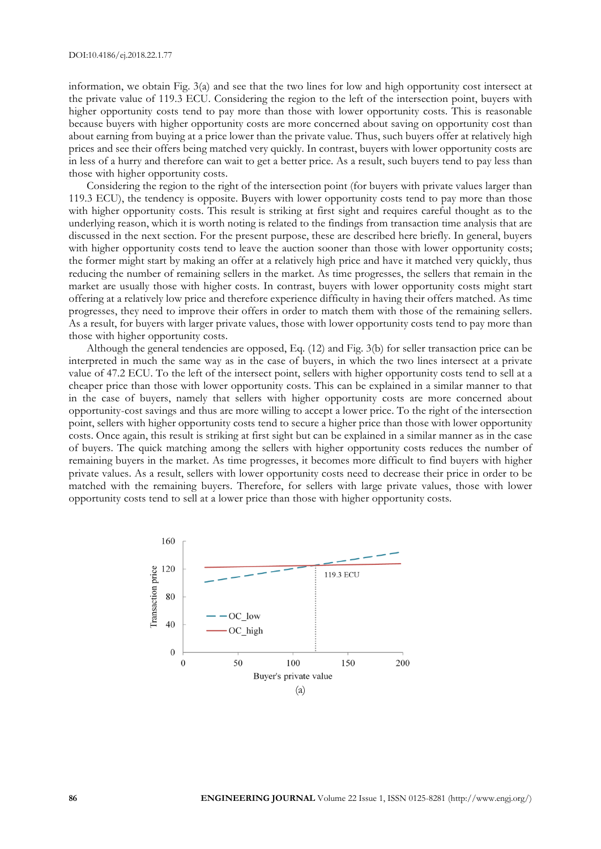information, we obtain Fig. 3(a) and see that the two lines for low and high opportunity cost intersect at the private value of 119.3 ECU. Considering the region to the left of the intersection point, buyers with higher opportunity costs tend to pay more than those with lower opportunity costs. This is reasonable because buyers with higher opportunity costs are more concerned about saving on opportunity cost than about earning from buying at a price lower than the private value. Thus, such buyers offer at relatively high prices and see their offers being matched very quickly. In contrast, buyers with lower opportunity costs are in less of a hurry and therefore can wait to get a better price. As a result, such buyers tend to pay less than those with higher opportunity costs.

Considering the region to the right of the intersection point (for buyers with private values larger than 119.3 ECU), the tendency is opposite. Buyers with lower opportunity costs tend to pay more than those with higher opportunity costs. This result is striking at first sight and requires careful thought as to the underlying reason, which it is worth noting is related to the findings from transaction time analysis that are discussed in the next section. For the present purpose, these are described here briefly. In general, buyers with higher opportunity costs tend to leave the auction sooner than those with lower opportunity costs; the former might start by making an offer at a relatively high price and have it matched very quickly, thus reducing the number of remaining sellers in the market. As time progresses, the sellers that remain in the market are usually those with higher costs. In contrast, buyers with lower opportunity costs might start offering at a relatively low price and therefore experience difficulty in having their offers matched. As time progresses, they need to improve their offers in order to match them with those of the remaining sellers. As a result, for buyers with larger private values, those with lower opportunity costs tend to pay more than those with higher opportunity costs.

Although the general tendencies are opposed, Eq. (12) and Fig. 3(b) for seller transaction price can be interpreted in much the same way as in the case of buyers, in which the two lines intersect at a private value of 47.2 ECU. To the left of the intersect point, sellers with higher opportunity costs tend to sell at a cheaper price than those with lower opportunity costs. This can be explained in a similar manner to that in the case of buyers, namely that sellers with higher opportunity costs are more concerned about opportunity-cost savings and thus are more willing to accept a lower price. To the right of the intersection point, sellers with higher opportunity costs tend to secure a higher price than those with lower opportunity costs. Once again, this result is striking at first sight but can be explained in a similar manner as in the case of buyers. The quick matching among the sellers with higher opportunity costs reduces the number of remaining buyers in the market. As time progresses, it becomes more difficult to find buyers with higher private values. As a result, sellers with lower opportunity costs need to decrease their price in order to be matched with the remaining buyers. Therefore, for sellers with large private values, those with lower opportunity costs tend to sell at a lower price than those with higher opportunity costs.

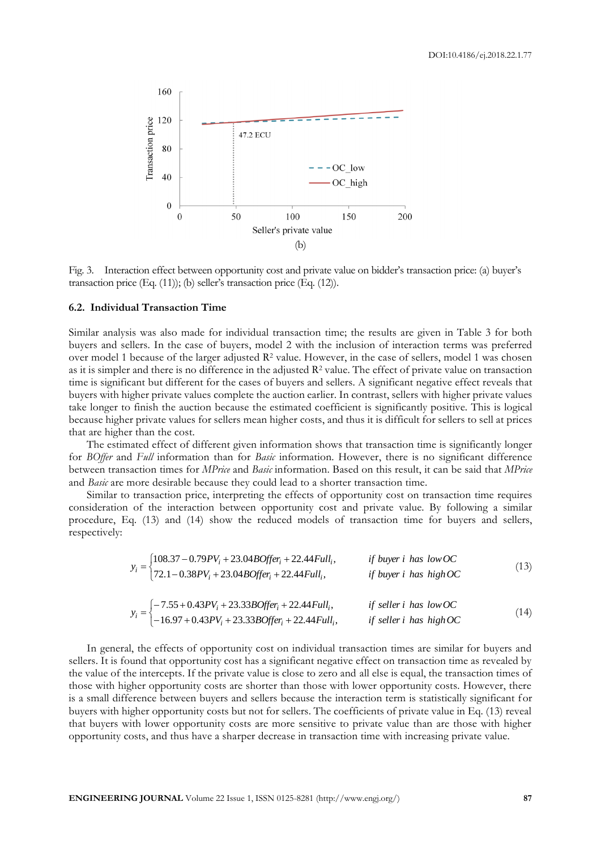

Fig. 3. Interaction effect between opportunity cost and private value on bidder's transaction price: (a) buyer's transaction price (Eq. (11)); (b) seller's transaction price (Eq. (12)).

## **6.2. Individual Transaction Time**

Similar analysis was also made for individual transaction time; the results are given in Table 3 for both buyers and sellers. In the case of buyers, model 2 with the inclusion of interaction terms was preferred over model 1 because of the larger adjusted R<sup>2</sup> value. However, in the case of sellers, model 1 was chosen as it is simpler and there is no difference in the adjusted  $R<sup>2</sup>$  value. The effect of private value on transaction time is significant but different for the cases of buyers and sellers. A significant negative effect reveals that buyers with higher private values complete the auction earlier. In contrast, sellers with higher private values take longer to finish the auction because the estimated coefficient is significantly positive. This is logical because higher private values for sellers mean higher costs, and thus it is difficult for sellers to sell at prices that are higher than the cost.

The estimated effect of different given information shows that transaction time is significantly longer for *BOffer* and *Full* information than for *Basic* information. However, there is no significant difference between transaction times for *MPrice* and *Basic* information. Based on this result, it can be said that *MPrice* and *Basic* are more desirable because they could lead to a shorter transaction time.

Similar to transaction price, interpreting the effects of opportunity cost on transaction time requires consideration of the interaction between opportunity cost and private value. By following a similar procedure, Eq. (13) and (14) show the reduced models of transaction time for buyers and sellers, respectively:

$$
y_i = \begin{cases} 108.37 - 0.79PV_i + 23.04BOffer_i + 22.44Full_i, & \text{if buyer i has low OC} \\ 72.1 - 0.38PV_i + 23.04BOffer_i + 22.44Full_i, & \text{if buyer i has high OC} \end{cases}
$$
(13)  

$$
\begin{cases} -7.55 + 0.43PV_i + 23.33BOffer_i + 22.44Full_i, & \text{if seller i has low OC} \end{cases}
$$

$$
y_i =\n\begin{cases}\n-7.55 + 0.45PV_i + 25.55BOJJer_i + 22.44Fu\mu_i, & \text{if seller } i \text{ has low OC} \\
-16.97 + 0.43PV_i + 23.33BOffer_i + 22.44Fu\mu_i, & \text{if seller } i \text{ has high OC}\n\end{cases}\n\tag{14}
$$

In general, the effects of opportunity cost on individual transaction times are similar for buyers and sellers. It is found that opportunity cost has a significant negative effect on transaction time as revealed by the value of the intercepts. If the private value is close to zero and all else is equal, the transaction times of those with higher opportunity costs are shorter than those with lower opportunity costs. However, there is a small difference between buyers and sellers because the interaction term is statistically significant for buyers with higher opportunity costs but not for sellers. The coefficients of private value in Eq. (13) reveal that buyers with lower opportunity costs are more sensitive to private value than are those with higher opportunity costs, and thus have a sharper decrease in transaction time with increasing private value.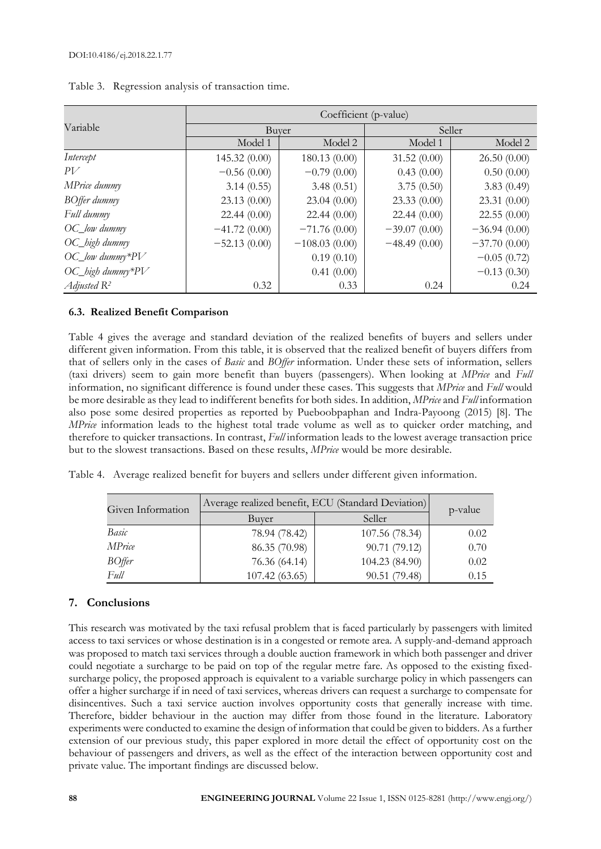|                         | Coefficient (p-value) |                 |                |                |
|-------------------------|-----------------------|-----------------|----------------|----------------|
| Variable                | Buyer                 |                 | Seller         |                |
|                         | Model 1               | Model 2         | Model 1        | Model 2        |
| Intercept               | 145.32(0.00)          | 180.13(0.00)    | 31.52(0.00)    | 26.50(0.00)    |
| P V                     | $-0.56(0.00)$         | $-0.79(0.00)$   | 0.43(0.00)     | 0.50(0.00)     |
| MPrice dummy            | 3.14(0.55)            | 3.48(0.51)      | 3.75(0.50)     | 3.83(0.49)     |
| BOffer dummy            | 23.13(0.00)           | 23.04(0.00)     | 23.33(0.00)    | 23.31(0.00)    |
| Full dummy              | 22.44(0.00)           | 22.44(0.00)     | 22.44(0.00)    | 22.55(0.00)    |
| $OC_low \, dummy$       | $-41.72(0.00)$        | $-71.76(0.00)$  | $-39.07(0.00)$ | $-36.94(0.00)$ |
| OC_high dummy           | $-52.13(0.00)$        | $-108.03(0.00)$ | $-48.49(0.00)$ | $-37.70(0.00)$ |
| $OC_l$ ow dummy* $PV$   |                       | 0.19(0.10)      |                | $-0.05(0.72)$  |
| $OC_{high\ dummy} * PV$ |                       | 0.41(0.00)      |                | $-0.13(0.30)$  |
| Adjusted $R^2$          | 0.32                  | 0.33            | 0.24           | 0.24           |

Table 3. Regression analysis of transaction time.

# **6.3. Realized Benefit Comparison**

Table 4 gives the average and standard deviation of the realized benefits of buyers and sellers under different given information. From this table, it is observed that the realized benefit of buyers differs from that of sellers only in the cases of *Basic* and *BOffer* information. Under these sets of information, sellers (taxi drivers) seem to gain more benefit than buyers (passengers). When looking at *MPrice* and *Full* information, no significant difference is found under these cases. This suggests that *MPrice* and *Full* would be more desirable as they lead to indifferent benefits for both sides. In addition, *MPrice* and *Full* information also pose some desired properties as reported by Pueboobpaphan and Indra-Payoong (2015) [8]. The *MPrice* information leads to the highest total trade volume as well as to quicker order matching, and therefore to quicker transactions. In contrast, *Full* information leads to the lowest average transaction price but to the slowest transactions. Based on these results, *MPrice* would be more desirable.

Table 4. Average realized benefit for buyers and sellers under different given information.

| Given Information | Average realized benefit, ECU (Standard Deviation) | p-value        |      |
|-------------------|----------------------------------------------------|----------------|------|
|                   | Buver                                              | Seller         |      |
| Basic             | 78.94 (78.42)                                      | 107.56 (78.34) | 0.02 |
| MPrice            | 86.35 (70.98)                                      | 90.71 (79.12)  | 0.70 |
| BOffer            | 76.36 (64.14)                                      | 104.23 (84.90) | 0.02 |
| Full              | 107.42 (63.65)                                     | 90.51 (79.48)  | 0.15 |

# **7. Conclusions**

This research was motivated by the taxi refusal problem that is faced particularly by passengers with limited access to taxi services or whose destination is in a congested or remote area. A supply-and-demand approach was proposed to match taxi services through a double auction framework in which both passenger and driver could negotiate a surcharge to be paid on top of the regular metre fare. As opposed to the existing fixedsurcharge policy, the proposed approach is equivalent to a variable surcharge policy in which passengers can offer a higher surcharge if in need of taxi services, whereas drivers can request a surcharge to compensate for disincentives. Such a taxi service auction involves opportunity costs that generally increase with time. Therefore, bidder behaviour in the auction may differ from those found in the literature. Laboratory experiments were conducted to examine the design of information that could be given to bidders. As a further extension of our previous study, this paper explored in more detail the effect of opportunity cost on the behaviour of passengers and drivers, as well as the effect of the interaction between opportunity cost and private value. The important findings are discussed below.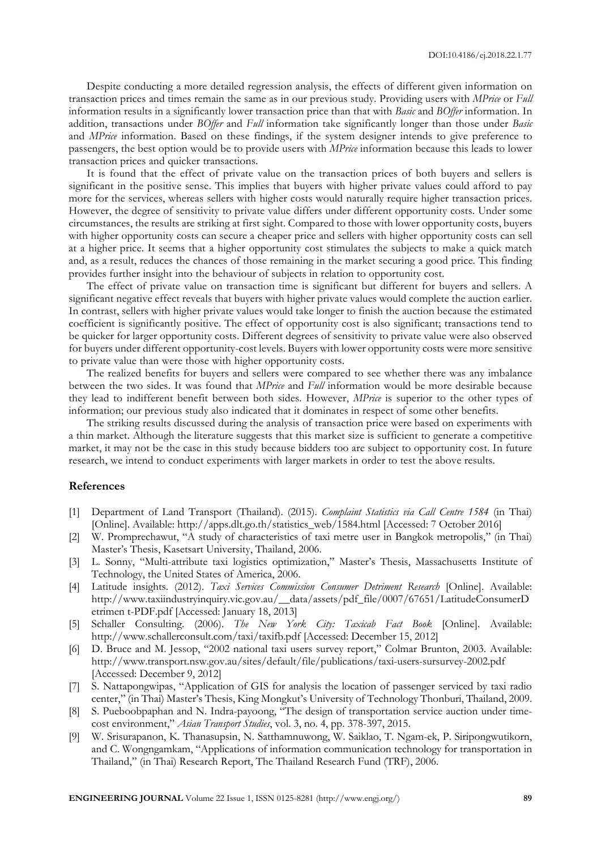Despite conducting a more detailed regression analysis, the effects of different given information on transaction prices and times remain the same as in our previous study. Providing users with *MPrice* or *Full* information results in a significantly lower transaction price than that with *Basic* and *BOffer* information. In addition, transactions under *BOffer* and *Full* information take significantly longer than those under *Basic* and *MPrice* information. Based on these findings, if the system designer intends to give preference to passengers, the best option would be to provide users with *MPrice* information because this leads to lower transaction prices and quicker transactions.

It is found that the effect of private value on the transaction prices of both buyers and sellers is significant in the positive sense. This implies that buyers with higher private values could afford to pay more for the services, whereas sellers with higher costs would naturally require higher transaction prices. However, the degree of sensitivity to private value differs under different opportunity costs. Under some circumstances, the results are striking at first sight. Compared to those with lower opportunity costs, buyers with higher opportunity costs can secure a cheaper price and sellers with higher opportunity costs can sell at a higher price. It seems that a higher opportunity cost stimulates the subjects to make a quick match and, as a result, reduces the chances of those remaining in the market securing a good price. This finding provides further insight into the behaviour of subjects in relation to opportunity cost.

The effect of private value on transaction time is significant but different for buyers and sellers. A significant negative effect reveals that buyers with higher private values would complete the auction earlier. In contrast, sellers with higher private values would take longer to finish the auction because the estimated coefficient is significantly positive. The effect of opportunity cost is also significant; transactions tend to be quicker for larger opportunity costs. Different degrees of sensitivity to private value were also observed for buyers under different opportunity-cost levels. Buyers with lower opportunity costs were more sensitive to private value than were those with higher opportunity costs.

The realized benefits for buyers and sellers were compared to see whether there was any imbalance between the two sides. It was found that *MPrice* and *Full* information would be more desirable because they lead to indifferent benefit between both sides. However, *MPrice* is superior to the other types of information; our previous study also indicated that it dominates in respect of some other benefits.

The striking results discussed during the analysis of transaction price were based on experiments with a thin market. Although the literature suggests that this market size is sufficient to generate a competitive market, it may not be the case in this study because bidders too are subject to opportunity cost. In future research, we intend to conduct experiments with larger markets in order to test the above results.

#### **References**

- [1] Department of Land Transport (Thailand). (2015). *Complaint Statistics via Call Centre 1584* (in Thai) [Online]. Available: http://apps.dlt.go.th/statistics\_web/1584.html [Accessed: 7 October 2016]
- [2] W. Promprechawut, "A study of characteristics of taxi metre user in Bangkok metropolis," (in Thai) Master's Thesis, Kasetsart University, Thailand, 2006.
- [3] L. Sonny, "Multi-attribute taxi logistics optimization," Master's Thesis, Massachusetts Institute of Technology, the United States of America, 2006.
- [4] Latitude insights. (2012). *Taxi Services Commission Consumer Detriment Research* [Online]. Available: http://www.taxiindustryinquiry.vic.gov.au/\_\_data/assets/pdf\_file/0007/67651/LatitudeConsumerD etrimen t-PDF.pdf [Accessed: January 18, 2013]
- [5] Schaller Consulting. (2006). *The New York City: Taxicab Fact Book* [Online]. Available: http://www.schallerconsult.com/taxi/taxifb.pdf [Accessed: December 15, 2012]
- [6] D. Bruce and M. Jessop, "2002 national taxi users survey report," Colmar Brunton, 2003. Available: http://www.transport.nsw.gov.au/sites/default/file/publications/taxi-users-sursurvey-2002.pdf [Accessed: December 9, 2012]
- [7] S. Nattapongwipas, "Application of GIS for analysis the location of passenger serviced by taxi radio center," (in Thai) Master's Thesis, King Mongkut's University of Technology Thonburi, Thailand, 2009.
- [8] S. Pueboobpaphan and N. Indra-payoong, "The design of transportation service auction under timecost environment," *Asian Transport Studies*, vol. 3, no. 4, pp. 378-397, 2015.
- [9] W. Srisurapanon, K. Thanasupsin, N. Satthamnuwong, W. Saiklao, T. Ngam-ek, P. Siripongwutikorn, and C. Wongngamkam, "Applications of information communication technology for transportation in Thailand," (in Thai) Research Report, The Thailand Research Fund (TRF), 2006.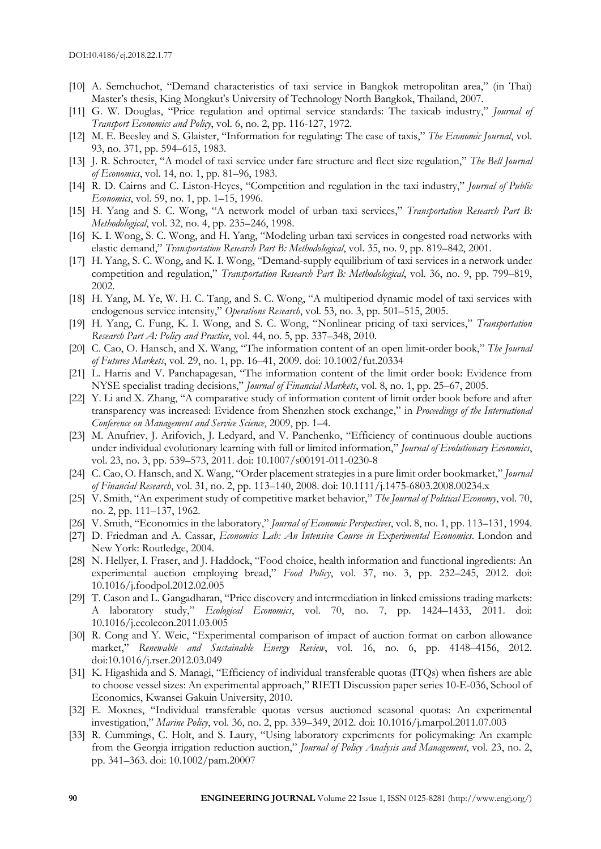- [10] A. Semchuchot, "Demand characteristics of taxi service in Bangkok metropolitan area," (in Thai) Master's thesis, King Mongkut's University of Technology North Bangkok, Thailand, 2007.
- [11] G. W. Douglas, "Price regulation and optimal service standards: The taxicab industry," *Journal of Transport Economics and Policy*, vol. 6, no. 2, pp. 116-127, 1972.
- [12] M. E. Beesley and S. Glaister, "Information for regulating: The case of taxis," *The Economic Journal*, vol. 93, no. 371, pp. 594–615, 1983.
- [13] J. R. Schroeter, "A model of taxi service under fare structure and fleet size regulation," *The Bell Journal of Economics*, vol. 14, no. 1, pp. 81–96, 1983.
- [14] R. D. Cairns and C. Liston-Heyes, "Competition and regulation in the taxi industry," *Journal of Public Economics*, vol. 59, no. 1, pp. 1–15, 1996.
- [15] H. Yang and S. C. Wong, "A network model of urban taxi services," *Transportation Research Part B: Methodological*, vol. 32, no. 4, pp. 235–246, 1998.
- [16] K. I. Wong, S. C. Wong, and H. Yang, "Modeling urban taxi services in congested road networks with elastic demand," *Transportation Research Part B: Methodological*, vol. 35, no. 9, pp. 819–842, 2001.
- [17] H. Yang, S. C. Wong, and K. I. Wong, "Demand-supply equilibrium of taxi services in a network under competition and regulation," *Transportation Research Part B: Methodological*, vol. 36, no. 9, pp. 799–819, 2002.
- [18] H. Yang, M. Ye, W. H. C. Tang, and S. C. Wong, "A multiperiod dynamic model of taxi services with endogenous service intensity," *Operations Research*, vol. 53, no. 3, pp. 501–515, 2005.
- [19] H. Yang, C. Fung, K. I. Wong, and S. C. Wong, "Nonlinear pricing of taxi services," *Transportation Research Part A: Policy and Practice*, vol. 44, no. 5, pp. 337–348, 2010.
- [20] C. Cao, O. Hansch, and X. Wang, "The information content of an open limit-order book," *The Journal of Futures Markets*, vol. 29, no. 1, pp. 16–41, 2009. doi: 10.1002/fut.20334
- [21] L. Harris and V. Panchapagesan, "The information content of the limit order book: Evidence from NYSE specialist trading decisions," *Journal of Financial Markets*, vol. 8, no. 1, pp. 25–67, 2005.
- [22] Y. Li and X. Zhang, "A comparative study of information content of limit order book before and after transparency was increased: Evidence from Shenzhen stock exchange," in *Proceedings of the International Conference on Management and Service Science*, 2009, pp. 1–4.
- [23] M. Anufriev, J. Arifovich, J. Ledyard, and V. Panchenko, "Efficiency of continuous double auctions under individual evolutionary learning with full or limited information," *Journal of Evolutionary Economics*, vol. 23, no. 3, pp. 539–573, 2011. doi: 10.1007/s00191-011-0230-8
- [24] C. Cao, O. Hansch, and X. Wang, "Order placement strategies in a pure limit order bookmarket," *Journal of Financial Research*, vol. 31, no. 2, pp. 113–140, 2008. doi: 10.1111/j.1475-6803.2008.00234.x
- [25] V. Smith, "An experiment study of competitive market behavior," *The Journal of Political Economy*, vol. 70, no. 2, pp. 111–137, 1962.
- [26] V. Smith, "Economics in the laboratory," *Journal of Economic Perspectives*, vol. 8, no. 1, pp. 113–131, 1994.
- [27] D. Friedman and A. Cassar, *Economics Lab: An Intensive Course in Experimental Economics*. London and New York: Routledge, 2004.
- [28] N. Hellyer, I. Fraser, and J. Haddock, "Food choice, health information and functional ingredients: An experimental auction employing bread," *Food Policy*, vol. 37, no. 3, pp. 232–245, 2012. doi: 10.1016/j.foodpol.2012.02.005
- [29] T. Cason and L. Gangadharan, "Price discovery and intermediation in linked emissions trading markets: A laboratory study," *Ecological Economics*, vol. 70, no. 7, pp. 1424–1433, 2011. doi: 10.1016/j.ecolecon.2011.03.005
- [30] R. Cong and Y. Weic, "Experimental comparison of impact of auction format on carbon allowance market," *Renewable and Sustainable Energy Review*, vol. 16, no. 6, pp. 4148–4156, 2012. doi:10.1016/j.rser.2012.03.049
- [31] K. Higashida and S. Managi, "Efficiency of individual transferable quotas (ITQs) when fishers are able to choose vessel sizes: An experimental approach," RIETI Discussion paper series 10-E-036, School of Economics, Kwansei Gakuin University, 2010.
- [32] E. Moxnes, "Individual transferable quotas versus auctioned seasonal quotas: An experimental investigation," *Marine Policy*, vol. 36, no. 2, pp. 339–349, 2012. doi: 10.1016/j.marpol.2011.07.003
- [33] R. Cummings, C. Holt, and S. Laury, "Using laboratory experiments for policymaking: An example from the Georgia irrigation reduction auction," *Journal of Policy Analysis and Management*, vol. 23, no. 2, pp. 341–363. doi: 10.1002/pam.20007